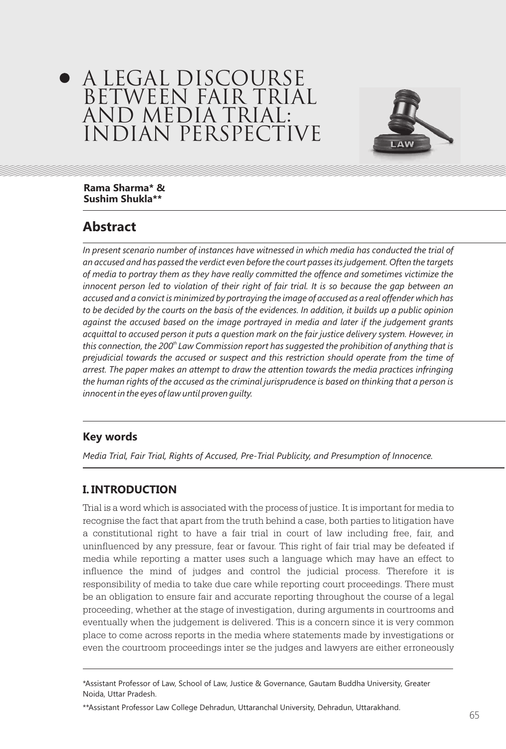# A LEGAL DISCOURSE BETWEEN FAIR TRIAL AND MEDIA TRIAL: INDIAN PERSPECTIVE



**Rama Sharma\* & Sushim Shukla\*\*** 

## **Abstract**

*In present scenario number of instances have witnessed in which media has conducted the trial of an accused and has passed the verdict even before the court passes its judgement. Often the targets of media to portray them as they have really committed the offence and sometimes victimize the*  innocent person led to violation of their right of fair trial. It is so because the gap between an *accused and a convict is minimized by portraying the image of accused as a real offender which has*  to be decided by the courts on the basis of the evidences. In addition, it builds up a public opinion *against the accused based on the image portrayed in media and later if the judgement grants acquittal to accused person it puts a question mark on the fair justice delivery system. However, in this connection, the 200<sup>th</sup> Law Commission report has suggested the prohibition of anything that is prejudicial towards the accused or suspect and this restriction should operate from the time of arrest. The paper makes an attempt to draw the attention towards the media practices infringing the human rights of the accused as the criminal jurisprudence is based on thinking that a person is innocent in the eyes of law until proven guilty.*

## **Key words**

*Media Trial, Fair Trial, Rights of Accused, Pre-Trial Publicity, and Presumption of Innocence.*

## **I. INTRODUCTION**

Trial is a word which is associated with the process of justice. It is important for media to recognise the fact that apart from the truth behind a case, both parties to litigation have a constitutional right to have a fair trial in court of law including free, fair, and uninfluenced by any pressure, fear or favour. This right of fair trial may be defeated if media while reporting a matter uses such a language which may have an effect to influence the mind of judges and control the judicial process. Therefore it is responsibility of media to take due care while reporting court proceedings. There must be an obligation to ensure fair and accurate reporting throughout the course of a legal proceeding, whether at the stage of investigation, during arguments in courtrooms and eventually when the judgement is delivered. This is a concern since it is very common place to come across reports in the media where statements made by investigations or even the courtroom proceedings inter se the judges and lawyers are either erroneously

<sup>\*</sup>Assistant Professor of Law, School of Law, Justice & Governance, Gautam Buddha University, Greater Noida, Uttar Pradesh.

<sup>\*\*</sup>Assistant Professor Law College Dehradun, Uttaranchal University, Dehradun, Uttarakhand.  $\sim$  65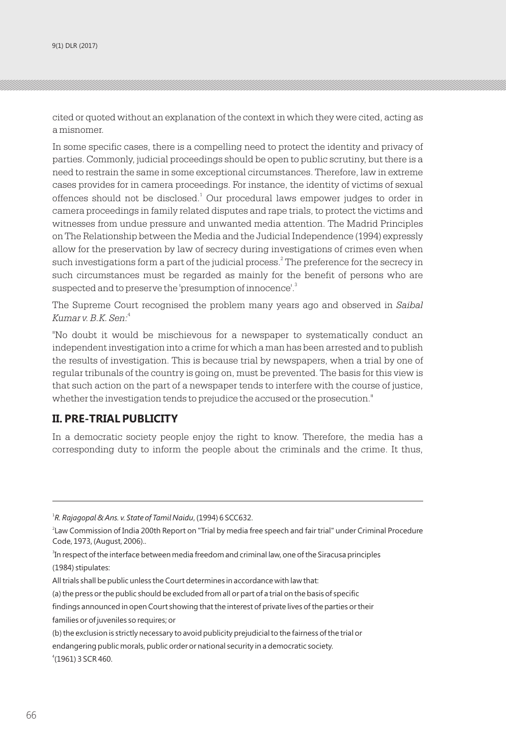cited or quoted without an explanation of the context in which they were cited, acting as a misnomer.

In some specific cases, there is a compelling need to protect the identity and privacy of parties. Commonly, judicial proceedings should be open to public scrutiny, but there is a need to restrain the same in some exceptional circumstances. Therefore, law in extreme cases provides for in camera proceedings. For instance, the identity of victims of sexual offences should not be disclosed.<sup>1</sup> Our procedural laws empower judges to order in camera proceedings in family related disputes and rape trials, to protect the victims and witnesses from undue pressure and unwanted media attention. The Madrid Principles on The Relationship between the Media and the Judicial Independence (1994) expressly allow for the preservation by law of secrecy during investigations of crimes even when such investigations form a part of the judicial process. $^2$  The preference for the secrecy in such circumstances must be regarded as mainly for the benefit of persons who are suspected and to preserve the 'presumption of innocence'.<sup>3</sup>

The Supreme Court recognised the problem many years ago and observed in *Saibal*  4 *Kumar v. B.K. Sen:*

"No doubt it would be mischievous for a newspaper to systematically conduct an independent investigation into a crime for which a man has been arrested and to publish the results of investigation. This is because trial by newspapers, when a trial by one of regular tribunals of the country is going on, must be prevented. The basis for this view is that such action on the part of a newspaper tends to interfere with the course of justice, whether the investigation tends to prejudice the accused or the prosecution."

#### **II. PRE-TRIAL PUBLICITY**

In a democratic society people enjoy the right to know. Therefore, the media has a corresponding duty to inform the people about the criminals and the crime. It thus,

(a) the press or the public should be excluded from all or part of a trial on the basis of specific

<sup>1</sup> *R. Rajagopal & Ans. v. State of Tamil Naidu*, (1994) 6 SCC632.

<sup>2</sup> Law Commission of India 200th Report on "Trial by media free speech and fair trial" under Criminal Procedure Code, 1973, (August, 2006)..

<sup>3</sup> In respect of the interface between media freedom and criminal law, one of the Siracusa principles (1984) stipulates:

All trials shall be public unless the Court determines in accordance with law that:

findings announced in open Court showing that the interest of private lives of the parties or their families or of juveniles so requires; or

<sup>(</sup>b) the exclusion is strictly necessary to avoid publicity prejudicial to the fairness of the trial or endangering public morals, public order or national security in a democratic society. 4 (1961) 3 SCR 460.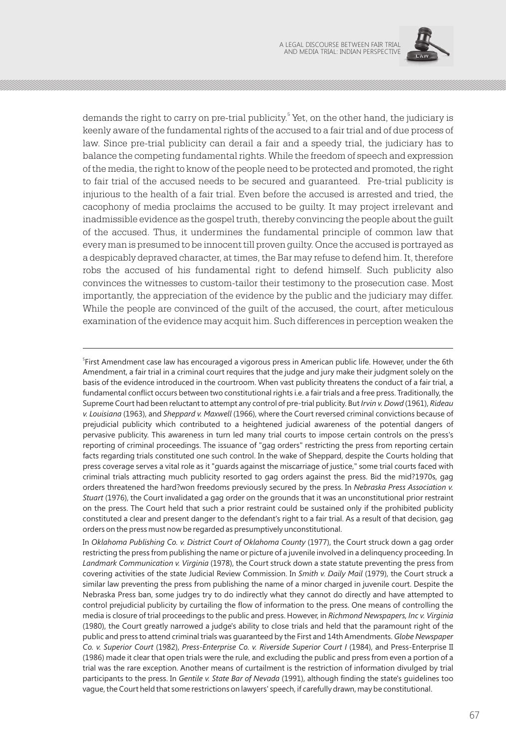

demands the right to carry on pre-trial publicity.<sup>5</sup> Yet, on the other hand, the judiciary is keenly aware of the fundamental rights of the accused to a fair trial and of due process of law. Since pre-trial publicity can derail a fair and a speedy trial, the judiciary has to balance the competing fundamental rights. While the freedom of speech and expression of the media, the right to know of the people need to be protected and promoted, the right to fair trial of the accused needs to be secured and guaranteed. Pre-trial publicity is injurious to the health of a fair trial. Even before the accused is arrested and tried, the cacophony of media proclaims the accused to be guilty. It may project irrelevant and inadmissible evidence as the gospel truth, thereby convincing the people about the guilt of the accused. Thus, it undermines the fundamental principle of common law that every man is presumed to be innocent till proven guilty. Once the accused is portrayed as a despicably depraved character, at times, the Bar may refuse to defend him. It, therefore robs the accused of his fundamental right to defend himself. Such publicity also convinces the witnesses to custom-tailor their testimony to the prosecution case. Most importantly, the appreciation of the evidence by the public and the judiciary may differ. While the people are convinced of the guilt of the accused, the court, after meticulous examination of the evidence may acquit him. Such differences in perception weaken the

<sup>5</sup> First Amendment case law has encouraged a vigorous press in American public life. However, under the 6th Amendment, a fair trial in a criminal court requires that the judge and jury make their judgment solely on the basis of the evidence introduced in the courtroom. When vast publicity threatens the conduct of a fair trial, a fundamental conflict occurs between two constitutional rights i.e. a fair trials and a free press. Traditionally, the Supreme Court had been reluctant to attempt any control of pre-trial publicity. But *Irvin v. Dowd* (1961), *Rideau v. Louisiana* (1963), and *Sheppard v. Maxwell* (1966), where the Court reversed criminal convictions because of prejudicial publicity which contributed to a heightened judicial awareness of the potential dangers of pervasive publicity. This awareness in turn led many trial courts to impose certain controls on the press's reporting of criminal proceedings. The issuance of "gag orders" restricting the press from reporting certain facts regarding trials constituted one such control. In the wake of Sheppard, despite the Courts holding that press coverage serves a vital role as it "guards against the miscarriage of justice," some trial courts faced with criminal trials attracting much publicity resorted to gag orders against the press. Bid the mid?1970s, gag orders threatened the hard?won freedoms previously secured by the press. In *Nebraska Press Association v. Stuart* (1976), the Court invalidated a gag order on the grounds that it was an unconstitutional prior restraint on the press. The Court held that such a prior restraint could be sustained only if the prohibited publicity constituted a clear and present danger to the defendant's right to a fair trial. As a result of that decision, gag orders on the press must now be regarded as presumptively unconstitutional.

In *Oklahoma Publishing Co. v. District Court of Oklahoma County* (1977), the Court struck down a gag order restricting the press from publishing the name or picture of a juvenile involved in a delinquency proceeding. In *Landmark Communication v. Virginia* (1978), the Court struck down a state statute preventing the press from covering activities of the state Judicial Review Commission. In *Smith v. Daily Mail* (1979), the Court struck a similar law preventing the press from publishing the name of a minor charged in juvenile court. Despite the Nebraska Press ban, some judges try to do indirectly what they cannot do directly and have attempted to control prejudicial publicity by curtailing the flow of information to the press. One means of controlling the media is closure of trial proceedings to the public and press. However, in *Richmond Newspapers, Inc v. Virginia* (1980), the Court greatly narrowed a judge's ability to close trials and held that the paramount right of the public and press to attend criminal trials was guaranteed by the First and 14th Amendments. *Globe Newspaper Co. v. Superior Court* (1982), *Press-Enterprise Co. v. Riverside Superior Court I* (1984), and Press-Enterprise II (1986) made it clear that open trials were the rule, and excluding the public and press from even a portion of a trial was the rare exception. Another means of curtailment is the restriction of information divulged by trial participants to the press. In *Gentile v. State Bar of Nevada* (1991), although finding the state's guidelines too vague, the Court held that some restrictions on lawyers' speech, if carefully drawn, may be constitutional.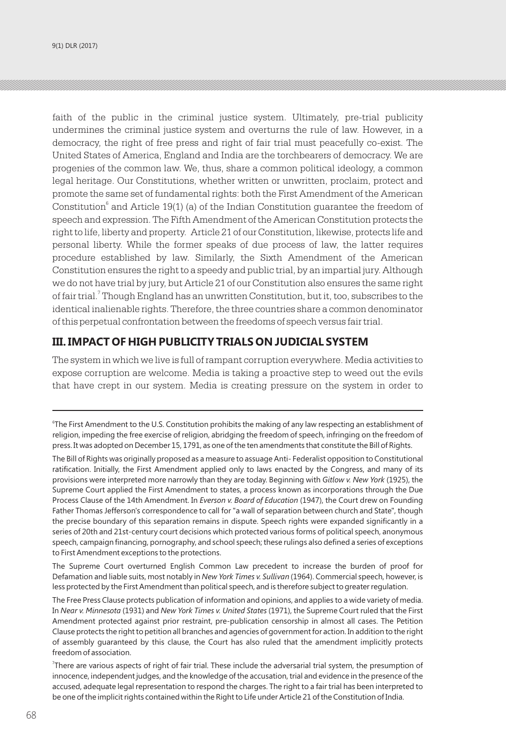faith of the public in the criminal justice system. Ultimately, pre-trial publicity undermines the criminal justice system and overturns the rule of law. However, in a democracy, the right of free press and right of fair trial must peacefully co-exist. The United States of America, England and India are the torchbearers of democracy. We are progenies of the common law. We, thus, share a common political ideology, a common legal heritage. Our Constitutions, whether written or unwritten, proclaim, protect and promote the same set of fundamental rights: both the First Amendment of the American Constitution<sup>6</sup> and Article 19(1) (a) of the Indian Constitution guarantee the freedom of speech and expression. The Fifth Amendment of the American Constitution protects the right to life, liberty and property. Article 21 of our Constitution, likewise, protects life and personal liberty. While the former speaks of due process of law, the latter requires procedure established by law. Similarly, the Sixth Amendment of the American Constitution ensures the right to a speedy and public trial, by an impartial jury. Although we do not have trial by jury, but Article 21 of our Constitution also ensures the same right of fair trial.<sup>7</sup> Though England has an unwritten Constitution, but it, too, subscribes to the identical inalienable rights. Therefore, the three countries share a common denominator of this perpetual confrontation between the freedoms of speech versus fair trial.

#### **III. IMPACT OF HIGH PUBLICITY TRIALS ON JUDICIAL SYSTEM**

The system in which we live is full of rampant corruption everywhere. Media activities to expose corruption are welcome. Media is taking a proactive step to weed out the evils that have crept in our system. Media is creating pressure on the system in order to

<sup>6</sup> The First Amendment to the U.S. Constitution prohibits the making of any law respecting an establishment of religion, impeding the free exercise of religion, abridging the freedom of speech, infringing on the freedom of press. It was adopted on December 15, 1791, as one of the ten amendments that constitute the Bill of Rights.

The Bill of Rights was originally proposed as a measure to assuage Anti- Federalist opposition to Constitutional ratification. Initially, the First Amendment applied only to laws enacted by the Congress, and many of its provisions were interpreted more narrowly than they are today. Beginning with *Gitlow v. New York* (1925), the Supreme Court applied the First Amendment to states, a process known as incorporations through the Due Process Clause of the 14th Amendment. In *Everson v. Board of Education* (1947), the Court drew on Founding Father Thomas Jefferson's correspondence to call for "a wall of separation between church and State", though the precise boundary of this separation remains in dispute. Speech rights were expanded significantly in a series of 20th and 21st-century court decisions which protected various forms of political speech, anonymous speech, campaign financing, pornography, and school speech; these rulings also defined a series of exceptions to First Amendment exceptions to the protections.

The Supreme Court overturned English Common Law precedent to increase the burden of proof for Defamation and liable suits, most notably in *New York Times v. Sullivan* (1964). Commercial speech, however, is less protected by the First Amendment than political speech, and is therefore subject to greater regulation.

The Free Press Clause protects publication of information and opinions, and applies to a wide variety of media. In *Near v. Minnesota* (1931) and *New York Times v. United States* (1971), the Supreme Court ruled that the First Amendment protected against prior restraint, pre-publication censorship in almost all cases. The Petition Clause protects the right to petition all branches and agencies of government for action. In addition to the right of assembly guaranteed by this clause, the Court has also ruled that the amendment implicitly protects freedom of association.

<sup>7</sup> There are various aspects of right of fair trial. These include the adversarial trial system, the presumption of innocence, independent judges, and the knowledge of the accusation, trial and evidence in the presence of the accused, adequate legal representation to respond the charges. The right to a fair trial has been interpreted to be one of the implicit rights contained within the Right to Life under Article 21 of the Constitution of India.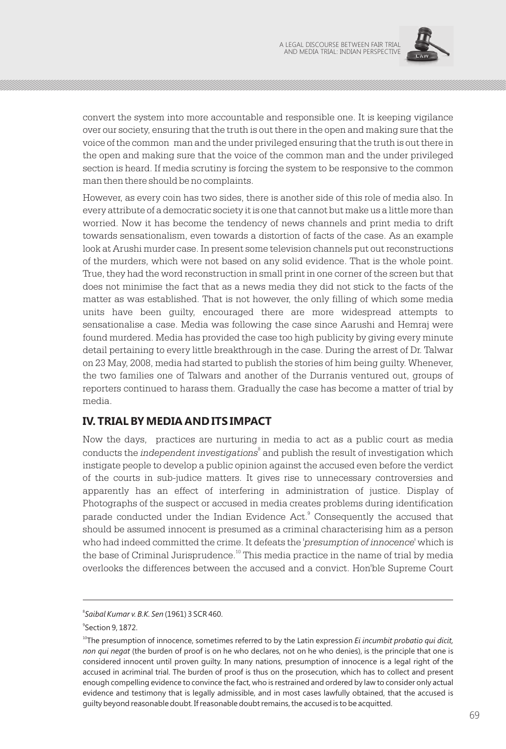

convert the system into more accountable and responsible one. It is keeping vigilance over our society, ensuring that the truth is out there in the open and making sure that the voice of the common man and the under privileged ensuring that the truth is out there in the open and making sure that the voice of the common man and the under privileged section is heard. If media scrutiny is forcing the system to be responsive to the common man then there should be no complaints.

However, as every coin has two sides, there is another side of this role of media also. In every attribute of a democratic society it is one that cannot but make us a little more than worried. Now it has become the tendency of news channels and print media to drift towards sensationalism, even towards a distortion of facts of the case. As an example look at Arushi murder case. In present some television channels put out reconstructions of the murders, which were not based on any solid evidence. That is the whole point. True, they had the word reconstruction in small print in one corner of the screen but that does not minimise the fact that as a news media they did not stick to the facts of the matter as was established. That is not however, the only filling of which some media units have been guilty, encouraged there are more widespread attempts to sensationalise a case. Media was following the case since Aarushi and Hemraj were found murdered. Media has provided the case too high publicity by giving every minute detail pertaining to every little breakthrough in the case. During the arrest of Dr. Talwar on 23 May, 2008, media had started to publish the stories of him being guilty. Whenever, the two families one of Talwars and another of the Durranis ventured out, groups of reporters continued to harass them. Gradually the case has become a matter of trial by media.

#### **IV. TRIAL BY MEDIA AND ITS IMPACT**

Now the days, practices are nurturing in media to act as a public court as media conducts the *independent investigations* $^{\circ}$  and publish the result of investigation which instigate people to develop a public opinion against the accused even before the verdict of the courts in sub-judice matters. It gives rise to unnecessary controversies and apparently has an effect of interfering in administration of justice. Display of Photographs of the suspect or accused in media creates problems during identification parade conducted under the Indian Evidence Act.<sup>9</sup> Consequently the accused that should be assumed innocent is presumed as a criminal characterising him as a person who had indeed committed the crime. It defeats the '*presumption of innocence'* which is the base of Criminal Jurisprudence.<sup>10</sup> This media practice in the name of trial by media overlooks the differences between the accused and a convict. Hon'ble Supreme Court

<sup>8</sup> *Saibal Kumar v. B.K. Sen* (1961) 3 SCR 460.

 $\degree$ Section 9, 1872.

<sup>&</sup>lt;sup>10</sup>The presumption of innocence, sometimes referred to by the Latin expression *Ei incumbit probatio qui dicit*, *non qui negat* (the burden of proof is on he who declares, not on he who denies), is the principle that one is considered innocent until proven guilty. In many nations, presumption of innocence is a legal right of the accused in acriminal trial. The burden of proof is thus on the prosecution, which has to collect and present enough compelling evidence to convince the fact, who is restrained and ordered by law to consider only actual evidence and testimony that is legally admissible, and in most cases lawfully obtained, that the accused is guilty beyond reasonable doubt. If reasonable doubt remains, the accused is to be acquitted.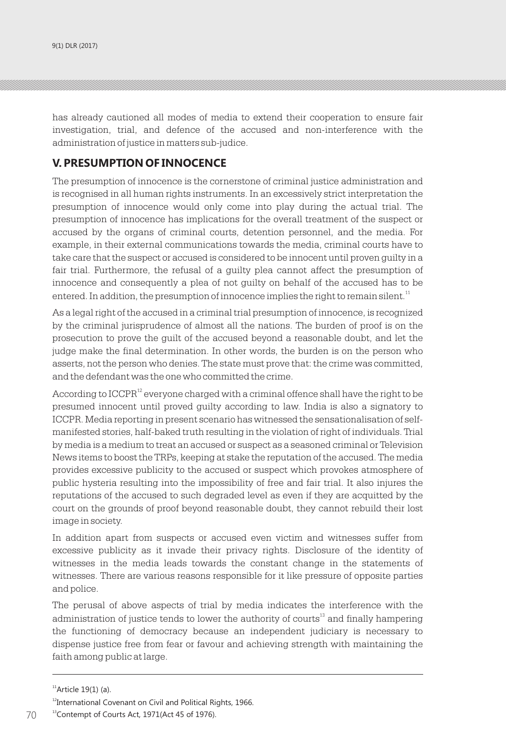has already cautioned all modes of media to extend their cooperation to ensure fair investigation, trial, and defence of the accused and non-interference with the administration of justice in matters sub-judice.

#### **V. PRESUMPTION OF INNOCENCE**

The presumption of innocence is the cornerstone of criminal justice administration and is recognised in all human rights instruments. In an excessively strict interpretation the presumption of innocence would only come into play during the actual trial. The presumption of innocence has implications for the overall treatment of the suspect or accused by the organs of criminal courts, detention personnel, and the media. For example, in their external communications towards the media, criminal courts have to take care that the suspect or accused is considered to be innocent until proven guilty in a fair trial. Furthermore, the refusal of a guilty plea cannot affect the presumption of innocence and consequently a plea of not guilty on behalf of the accused has to be entered. In addition, the presumption of innocence implies the right to remain silent.<sup>11</sup>

As a legal right of the accused in a criminal trial presumption of innocence, is recognized by the criminal jurisprudence of almost all the nations. The burden of proof is on the prosecution to prove the guilt of the accused beyond a reasonable doubt, and let the judge make the final determination. In other words, the burden is on the person who asserts, not the person who denies. The state must prove that: the crime was committed, and the defendant was the one who committed the crime.

According to  $ICCPR<sup>12</sup>$  everyone charged with a criminal offence shall have the right to be presumed innocent until proved guilty according to law. India is also a signatory to ICCPR. Media reporting in present scenario has witnessed the sensationalisation of selfmanifested stories, half-baked truth resulting in the violation of right of individuals. Trial by media is a medium to treat an accused or suspect as a seasoned criminal or Television News items to boost the TRPs, keeping at stake the reputation of the accused. The media provides excessive publicity to the accused or suspect which provokes atmosphere of public hysteria resulting into the impossibility of free and fair trial. It also injures the reputations of the accused to such degraded level as even if they are acquitted by the court on the grounds of proof beyond reasonable doubt, they cannot rebuild their lost image in society.

In addition apart from suspects or accused even victim and witnesses suffer from excessive publicity as it invade their privacy rights. Disclosure of the identity of witnesses in the media leads towards the constant change in the statements of witnesses. There are various reasons responsible for it like pressure of opposite parties and police.

The perusal of above aspects of trial by media indicates the interference with the administration of justice tends to lower the authority of courts<sup>13</sup> and finally hampering the functioning of democracy because an independent judiciary is necessary to dispense justice free from fear or favour and achieving strength with maintaining the faith among public at large.

 $<sup>11</sup>$ Article 19(1) (a).</sup>

<sup>&</sup>lt;sup>12</sup>International Covenant on Civil and Political Rights, 1966.

<sup>&</sup>lt;sup>13</sup>Contempt of Courts Act, 1971(Act 45 of 1976).  $70$  <sup>13</sup> Contempt of Courts Act, 1971(Act 45 of 1976).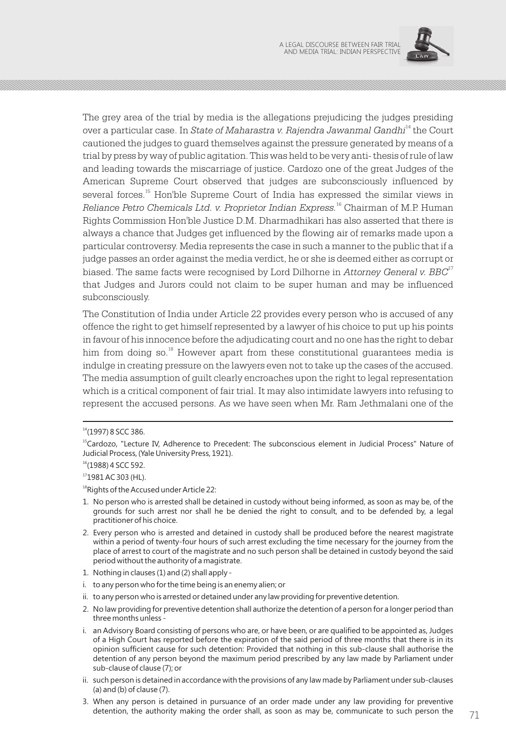

The grey area of the trial by media is the allegations prejudicing the judges presiding <sup>14</sup> over a particular case. In *State of Maharastra v. Rajendra Jawanmal Gandhi* the Court cautioned the judges to guard themselves against the pressure generated by means of a trial by press by way of public agitation. This was held to be very anti- thesis of rule of law and leading towards the miscarriage of justice. Cardozo one of the great Judges of the American Supreme Court observed that judges are subconsciously influenced by several forces.<sup>15</sup> Hon'ble Supreme Court of India has expressed the similar views in 16 *Reliance Petro Chemicals Ltd. v. Proprietor Indian Express.* <sup>16</sup> Chairman of M.P. Human Rights Commission Hon'ble Justice D.M. Dharmadhikari has also asserted that there is always a chance that Judges get influenced by the flowing air of remarks made upon a particular controversy. Media represents the case in such a manner to the public that if a judge passes an order against the media verdict, he or she is deemed either as corrupt or biased. The same facts were recognised by Lord Dilhorne in *Attorney General v. BBC*<sup>17</sup> that Judges and Jurors could not claim to be super human and may be influenced subconsciously.

The Constitution of India under Article 22 provides every person who is accused of any offence the right to get himself represented by a lawyer of his choice to put up his points in favour of his innocence before the adjudicating court and no one has the right to debar him from doing so.<sup>18</sup> However apart from these constitutional guarantees media is indulge in creating pressure on the lawyers even not to take up the cases of the accused. The media assumption of guilt clearly encroaches upon the right to legal representation which is a critical component of fair trial. It may also intimidate lawyers into refusing to represent the accused persons. As we have seen when Mr. Ram Jethmalani one of the

<sup>18</sup>Rights of the Accused under Article 22:

- 1. No person who is arrested shall be detained in custody without being informed, as soon as may be, of the grounds for such arrest nor shall he be denied the right to consult, and to be defended by, a legal practitioner of his choice.
- 2. Every person who is arrested and detained in custody shall be produced before the nearest magistrate within a period of twenty-four hours of such arrest excluding the time necessary for the journey from the place of arrest to court of the magistrate and no such person shall be detained in custody beyond the said period without the authority of a magistrate.
- 1. Nothing in clauses (1) and (2) shall apply -
- i. to any person who for the time being is an enemy alien; or
- ii. to any person who is arrested or detained under any law providing for preventive detention.
- 2. No law providing for preventive detention shall authorize the detention of a person for a longer period than three months unless -
- i. an Advisory Board consisting of persons who are, or have been, or are qualified to be appointed as, Judges of a High Court has reported before the expiration of the said period of three months that there is in its opinion sufficient cause for such detention: Provided that nothing in this sub-clause shall authorise the detention of any person beyond the maximum period prescribed by any law made by Parliament under sub-clause of clause (7); or
- ii. such person is detained in accordance with the provisions of any law made by Parliament under sub-clauses (a) and (b) of clause (7).
- 3. When any person is detained in pursuance of an order made under any law providing for preventive detention, the authority making the order shall, as soon as may be, communicate to such person the  $71$

<sup>14</sup>(1997) 8 SCC 386.

<sup>&</sup>lt;sup>15</sup>Cardozo, "Lecture IV, Adherence to Precedent: The subconscious element in Judicial Process" Nature of Judicial Process, (Yale University Press, 1921).

 $16(1988)$  4 SCC 592.

<sup>17</sup>1981 AC 303 (HL).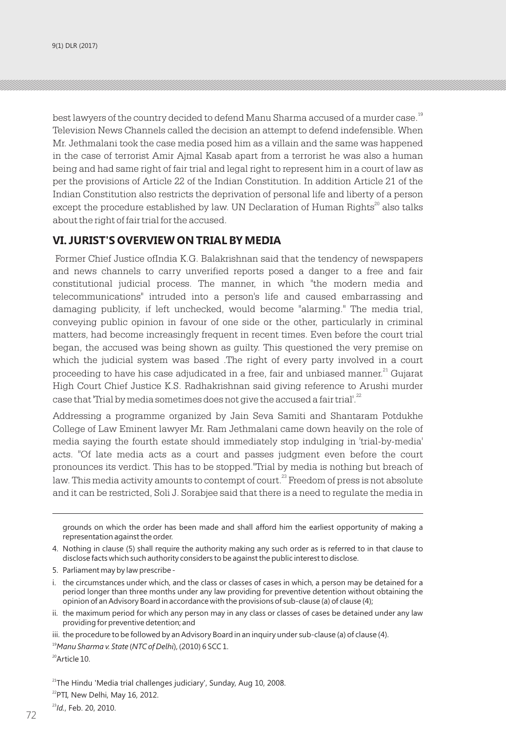best lawyers of the country decided to defend Manu Sharma accused of a murder case.<sup>19</sup> Television News Channels called the decision an attempt to defend indefensible. When Mr. Jethmalani took the case media posed him as a villain and the same was happened in the case of terrorist Amir Ajmal Kasab apart from a terrorist he was also a human being and had same right of fair trial and legal right to represent him in a court of law as per the provisions of Article 22 of the Indian Constitution. In addition Article 21 of the Indian Constitution also restricts the deprivation of personal life and liberty of a person except the procedure established by law. UN Declaration of Human Rights $\alpha$  also talks about the right of fair trial for the accused.

#### **VI. JURIST'S OVERVIEW ON TRIAL BY MEDIA**

 Former Chief Justice ofIndia K.G. Balakrishnan said that the tendency of newspapers and news channels to carry unverified reports posed a danger to a free and fair constitutional judicial process. The manner, in which "the modern media and telecommunications" intruded into a person's life and caused embarrassing and damaging publicity, if left unchecked, would become "alarming." The media trial, conveying public opinion in favour of one side or the other, particularly in criminal matters, had become increasingly frequent in recent times. Even before the court trial began, the accused was being shown as guilty. This questioned the very premise on which the judicial system was based .The right of every party involved in a court proceeding to have his case adjudicated in a free, fair and unbiased manner.<sup>21</sup> Gujarat High Court Chief Justice K.S. Radhakrishnan said giving reference to Arushi murder case that 'Trial by media sometimes does not give the accused a fair trial'.<sup>22</sup>

Addressing a programme organized by Jain Seva Samiti and Shantaram Potdukhe College of Law Eminent lawyer Mr. Ram Jethmalani came down heavily on the role of media saying the fourth estate should immediately stop indulging in 'trial-by-media' acts. "Of late media acts as a court and passes judgment even before the court pronounces its verdict. This has to be stopped."Trial by media is nothing but breach of law. This media activity amounts to contempt of court.<sup>23</sup> Freedom of press is not absolute and it can be restricted, Soli J. Sorabjee said that there is a need to regulate the media in

grounds on which the order has been made and shall afford him the earliest opportunity of making a representation against the order.

4. Nothing in clause (5) shall require the authority making any such order as is referred to in that clause to disclose facts which such authority considers to be against the public interest to disclose.

5. Parliament may by law prescribe -

i. the circumstances under which, and the class or classes of cases in which, a person may be detained for a period longer than three months under any law providing for preventive detention without obtaining the opinion of an Advisory Board in accordance with the provisions of sub-clause (a) of clause (4);

ii. the maximum period for which any person may in any class or classes of cases be detained under any law providing for preventive detention; and

iii. the procedure to be followed by an Advisory Board in an inquiry under sub-clause (a) of clause (4).

<sup>19</sup>*Manu Sharma v. State* (*NTC of Delhi*), (2010) 6 SCC 1.

<sup>20</sup>Article 10.

 $21$ <sup>21</sup>The Hindu 'Media trial challenges judiciary', Sunday, Aug 10, 2008.  $^{22}$ PTI, New Delhi, May 16, 2012.

72 *Participal and Participal Act of the Contract of the Contract of the Contract of the Contract of the Contract of the Contract of the Contract of the Contract of the Contract of the Contract of the Contract of the Cont* <sup>23</sup>*Id.*, Feb. 20, 2010.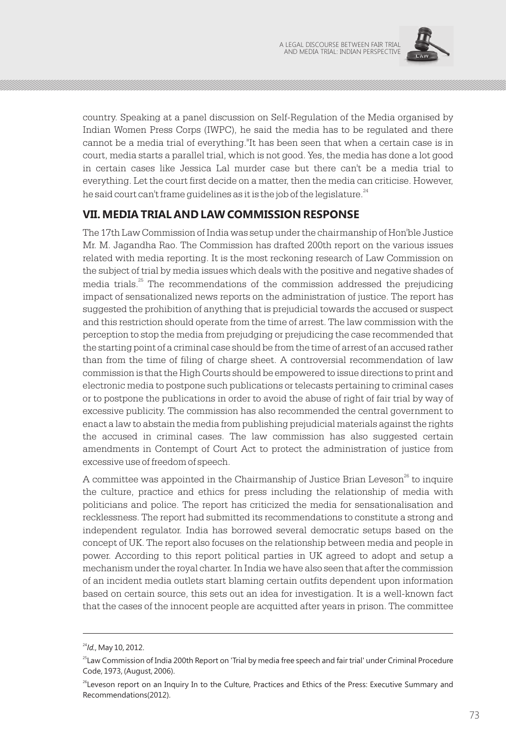

country. Speaking at a panel discussion on Self-Regulation of the Media organised by Indian Women Press Corps (IWPC), he said the media has to be regulated and there cannot be a media trial of everything."It has been seen that when a certain case is in court, media starts a parallel trial, which is not good. Yes, the media has done a lot good in certain cases like Jessica Lal murder case but there can't be a media trial to everything. Let the court first decide on a matter, then the media can criticise. However, he said court can't frame guidelines as it is the job of the legislature.<sup>24</sup>

### **VII. MEDIA TRIAL AND LAW COMMISSION RESPONSE**

The 17th Law Commission of India was setup under the chairmanship of Hon'ble Justice Mr. M. Jagandha Rao. The Commission has drafted 200th report on the various issues related with media reporting. It is the most reckoning research of Law Commission on the subject of trial by media issues which deals with the positive and negative shades of media trials.<sup>25</sup> The recommendations of the commission addressed the prejudicing impact of sensationalized news reports on the administration of justice. The report has suggested the prohibition of anything that is prejudicial towards the accused or suspect and this restriction should operate from the time of arrest. The law commission with the perception to stop the media from prejudging or prejudicing the case recommended that the starting point of a criminal case should be from the time of arrest of an accused rather than from the time of filing of charge sheet. A controversial recommendation of law commission is that the High Courts should be empowered to issue directions to print and electronic media to postpone such publications or telecasts pertaining to criminal cases or to postpone the publications in order to avoid the abuse of right of fair trial by way of excessive publicity. The commission has also recommended the central government to enact a law to abstain the media from publishing prejudicial materials against the rights the accused in criminal cases. The law commission has also suggested certain amendments in Contempt of Court Act to protect the administration of justice from excessive use of freedom of speech.

A committee was appointed in the Chairmanship of Justice Brian Leveson $^{26}$  to inquire the culture, practice and ethics for press including the relationship of media with politicians and police. The report has criticized the media for sensationalisation and recklessness. The report had submitted its recommendations to constitute a strong and independent regulator. India has borrowed several democratic setups based on the concept of UK. The report also focuses on the relationship between media and people in power. According to this report political parties in UK agreed to adopt and setup a mechanism under the royal charter. In India we have also seen that after the commission of an incident media outlets start blaming certain outfits dependent upon information based on certain source, this sets out an idea for investigation. It is a well-known fact that the cases of the innocent people are acquitted after years in prison. The committee

<sup>24</sup>*Id.*, May 10, 2012.

<sup>&</sup>lt;sup>25</sup>Law Commission of India 200th Report on 'Trial by media free speech and fair trial' under Criminal Procedure Code, 1973, (August, 2006).

<sup>&</sup>lt;sup>26</sup>Leveson report on an Inquiry In to the Culture, Practices and Ethics of the Press: Executive Summary and Recommendations(2012).